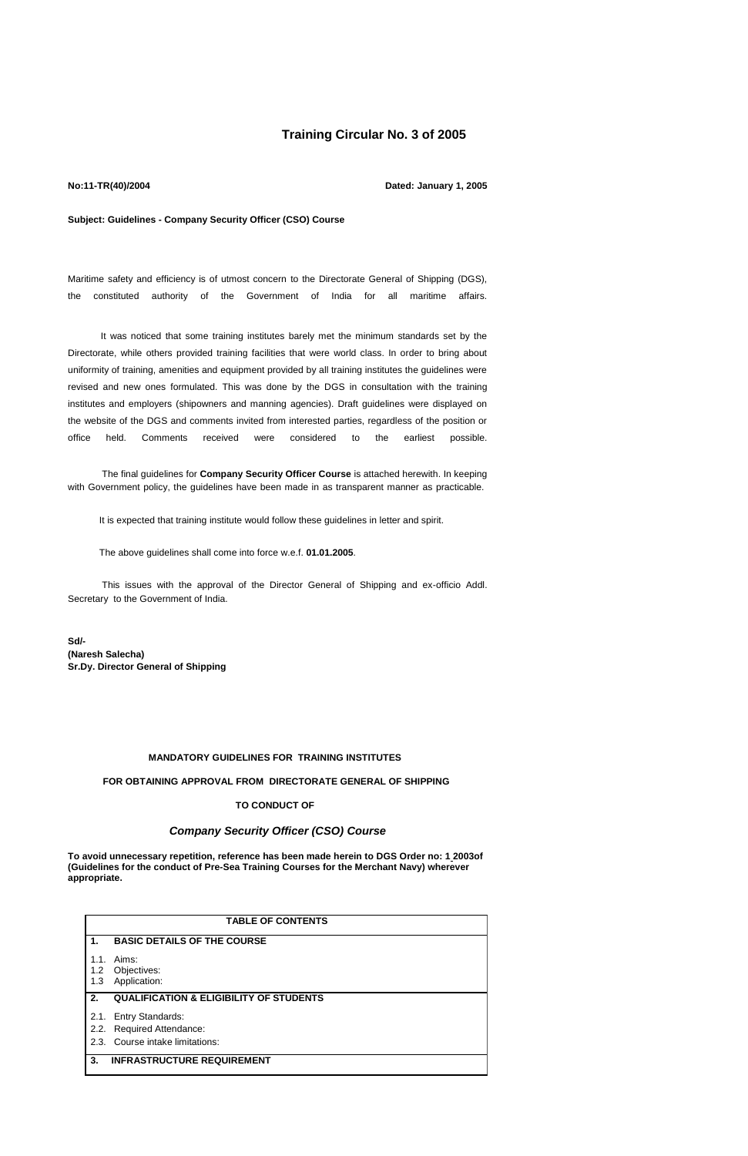# **Training Circular No. 3 of 2005**

#### **No:11-TR(40)/2004**

**Dated: January 1, 2005**

#### **Subject: Guidelines - Company Security Officer (CSO) Course**

Maritime safety and efficiency is of utmost concern to the Directorate General of Shipping (DGS), the constituted authority of the Government of India for all maritime affairs.

 It was noticed that some training institutes barely met the minimum standards set by the Directorate, while others provided training facilities that were world class. In order to bring about uniformity of training, amenities and equipment provided by all training institutes the guidelines were revised and new ones formulated. This was done by the DGS in consultation with the training institutes and employers (shipowners and manning agencies). Draft guidelines were displayed on the website of the DGS and comments invited from interested parties, regardless of the position or office held. Comments received were considered to the earliest possible.

The final guidelines for **Company Security Officer Course** is attached herewith. In keeping with Government policy, the guidelines have been made in as transparent manner as practicable.

It is expected that training institute would follow these guidelines in letter and spirit.

The above guidelines shall come into force w.e.f. **01.01.2005**.

 This issues with the approval of the Director General of Shipping and ex-officio Addl. Secretary to the Government of India.

**Sd/- (Naresh Salecha) Sr.Dy. Director General of Shipping**

### **MANDATORY GUIDELINES FOR TRAINING INSTITUTES**

# **FOR OBTAINING APPROVAL FROM DIRECTORATE GENERAL OF SHIPPING**

## **TO CONDUCT OF**

## *Company Security Officer (CSO) Course*

**To avoid unnecessary repetition, reference has been made herein to DGS Order no: 1 2003of (Guidelines for the conduct of Pre-Sea Training Courses for the Merchant Navy) wherever appropriate.**

|                    | <b>TABLE OF CONTENTS</b>                           |  |  |  |
|--------------------|----------------------------------------------------|--|--|--|
| 1.                 | <b>BASIC DETAILS OF THE COURSE</b>                 |  |  |  |
| 1.1.<br>1.2<br>1.3 | Aims:<br>Objectives:<br>Application:               |  |  |  |
| 2.                 | <b>QUALIFICATION &amp; ELIGIBILITY OF STUDENTS</b> |  |  |  |
|                    | 2.1. Entry Standards:                              |  |  |  |
|                    | 2.2. Required Attendance:                          |  |  |  |
|                    | 2.3. Course intake limitations:                    |  |  |  |
| 3.                 | <b>INFRASTRUCTURE REQUIREMENT</b>                  |  |  |  |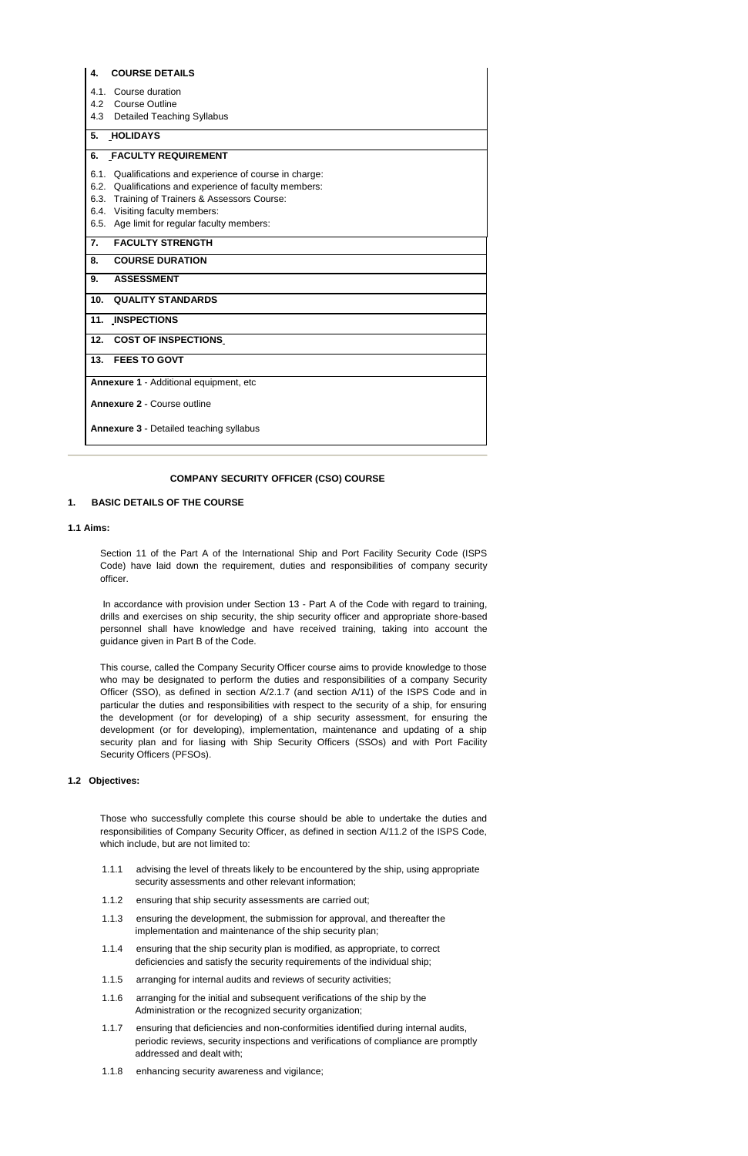| 4.                                     | <b>COURSE DETAILS</b>                                   |  |  |  |  |
|----------------------------------------|---------------------------------------------------------|--|--|--|--|
| 4.1.                                   | Course duration                                         |  |  |  |  |
| 4.2                                    | <b>Course Outline</b>                                   |  |  |  |  |
| 4.3                                    | <b>Detailed Teaching Syllabus</b>                       |  |  |  |  |
| 5.                                     | <b>HOLIDAYS</b>                                         |  |  |  |  |
| 6.                                     | <b>FACULTY REQUIREMENT</b>                              |  |  |  |  |
|                                        | 6.1. Qualifications and experience of course in charge: |  |  |  |  |
|                                        | 6.2. Qualifications and experience of faculty members:  |  |  |  |  |
|                                        | 6.3. Training of Trainers & Assessors Course:           |  |  |  |  |
|                                        | 6.4. Visiting faculty members:                          |  |  |  |  |
|                                        | 6.5. Age limit for regular faculty members:             |  |  |  |  |
| 7.                                     | <b>FACULTY STRENGTH</b>                                 |  |  |  |  |
| 8.                                     | <b>COURSE DURATION</b>                                  |  |  |  |  |
| 9.                                     | <b>ASSESSMENT</b>                                       |  |  |  |  |
| 10.                                    | <b>QUALITY STANDARDS</b>                                |  |  |  |  |
|                                        | 11. INSPECTIONS                                         |  |  |  |  |
| 12.                                    | <b>COST OF INSPECTIONS</b>                              |  |  |  |  |
| 13.                                    | <b>FEES TO GOVT</b>                                     |  |  |  |  |
| Annexure 1 - Additional equipment, etc |                                                         |  |  |  |  |
|                                        | <b>Annexure 2 - Course outline</b>                      |  |  |  |  |
|                                        | <b>Annexure 3 - Detailed teaching syllabus</b>          |  |  |  |  |

#### **COMPANY SECURITY OFFICER (CSO) COURSE**

### **1. BASIC DETAILS OF THE COURSE**

### **1.1 Aims:**

Section 11 of the Part A of the International Ship and Port Facility Security Code (ISPS Code) have laid down the requirement, duties and responsibilities of company security officer.

In accordance with provision under Section 13 - Part A of the Code with regard to training, drills and exercises on ship security, the ship security officer and appropriate shore-based personnel shall have knowledge and have received training, taking into account the guidance given in Part B of the Code.

This course, called the Company Security Officer course aims to provide knowledge to those who may be designated to perform the duties and responsibilities of a company Security Officer (SSO), as defined in section A/2.1.7 (and section A/11) of the ISPS Code and in particular the duties and responsibilities with respect to the security of a ship, for ensuring the development (or for developing) of a ship security assessment, for ensuring the development (or for developing), implementation, maintenance and updating of a ship security plan and for liasing with Ship Security Officers (SSOs) and with Port Facility Security Officers (PFSOs).

#### **1.2 Objectives:**

Those who successfully complete this course should be able to undertake the duties and responsibilities of Company Security Officer, as defined in section A/11.2 of the ISPS Code, which include, but are not limited to:

- 1.1.1 advising the level of threats likely to be encountered by the ship, using appropriate security assessments and other relevant information;
- 1.1.2 ensuring that ship security assessments are carried out;
- 1.1.3 ensuring the development, the submission for approval, and thereafter the implementation and maintenance of the ship security plan;
- 1.1.4 ensuring that the ship security plan is modified, as appropriate, to correct deficiencies and satisfy the security requirements of the individual ship;
- 1.1.5 arranging for internal audits and reviews of security activities;
- 1.1.6 arranging for the initial and subsequent verifications of the ship by the Administration or the recognized security organization;
- 1.1.7 ensuring that deficiencies and non-conformities identified during internal audits, periodic reviews, security inspections and verifications of compliance are promptly addressed and dealt with;
- 1.1.8 enhancing security awareness and vigilance;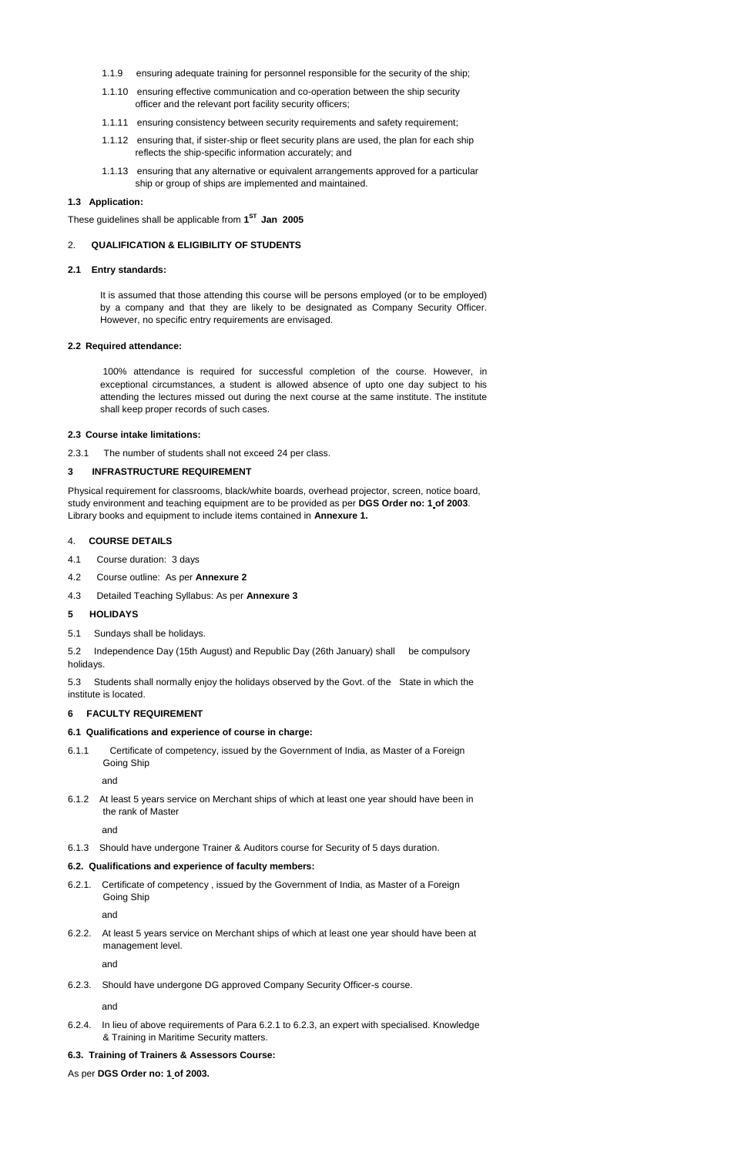- 1.1.9 ensuring adequate training for personnel responsible for the security of the ship;
- 1.1.10 ensuring effective communication and co-operation between the ship security officer and the relevant port facility security officers;
- 1.1.11 ensuring consistency between security requirements and safety requirement;
- 1.1.12 ensuring that, if sister-ship or fleet security plans are used, the plan for each ship reflects the ship-specific information accurately; and
- 1.1.13 ensuring that any alternative or equivalent arrangements approved for a particular ship or group of ships are implemented and maintained.

## **1.3 Application:**

These guidelines shall be applicable from **1 ST Jan 2005**

## 2. **QUALIFICATION & ELIGIBILITY OF STUDENTS**

#### **2.1 Entry standards:**

It is assumed that those attending this course will be persons employed (or to be employed) by a company and that they are likely to be designated as Company Security Officer. However, no specific entry requirements are envisaged.

#### **2.2 Required attendance:**

100% attendance is required for successful completion of the course. However, in exceptional circumstances, a student is allowed absence of upto one day subject to his attending the lectures missed out during the next course at the same institute. The institute shall keep proper records of such cases.

#### **2.3 Course intake limitations:**

2.3.1 The number of students shall not exceed 24 per class.

### **3 INFRASTRUCTURE REQUIREMENT**

Physical requirement for classrooms, black/white boards, overhead projector, screen, notice board, study environment and teaching equipment are to be provided as per **DGS Order no: 1 of 2003**. Library books and equipment to include items contained in **Annexure 1.**

#### 4. **COURSE DETAILS**

- 4.1 Course duration: 3 days
- 4.2 Course outline: As per **Annexure 2**
- 4.3 Detailed Teaching Syllabus: As per **Annexure 3**

#### **5 HOLIDAYS**

5.1 Sundays shall be holidays.

5.2 Independence Day (15th August) and Republic Day (26th January) shall be compulsory holidays.

5.3 Students shall normally enjoy the holidays observed by the Govt. of the State in which the institute is located.

#### **6 FACULTY REQUIREMENT**

#### **6.1 Qualifications and experience of course in charge:**

6.1.1 Certificate of competency, issued by the Government of India, as Master of a Foreign Going Ship

and

6.1.2 At least 5 years service on Merchant ships of which at least one year should have been in the rank of Master

and

- 6.1.3 Should have undergone Trainer & Auditors course for Security of 5 days duration.
- 

#### **6.2. Qualifications and experience of faculty members:**

6.2.1. Certificate of competency , issued by the Government of India, as Master of a Foreign Going Ship

and

6.2.2. At least 5 years service on Merchant ships of which at least one year should have been at management level.

and

6.2.3. Should have undergone DG approved Company Security Officer-s course.

#### and

- 6.2.4. In lieu of above requirements of Para 6.2.1 to 6.2.3, an expert with specialised. Knowledge & Training in Maritime Security matters.
- **6.3. Training of Trainers & Assessors Course:**

As per **DGS Order no: 1 of 2003.**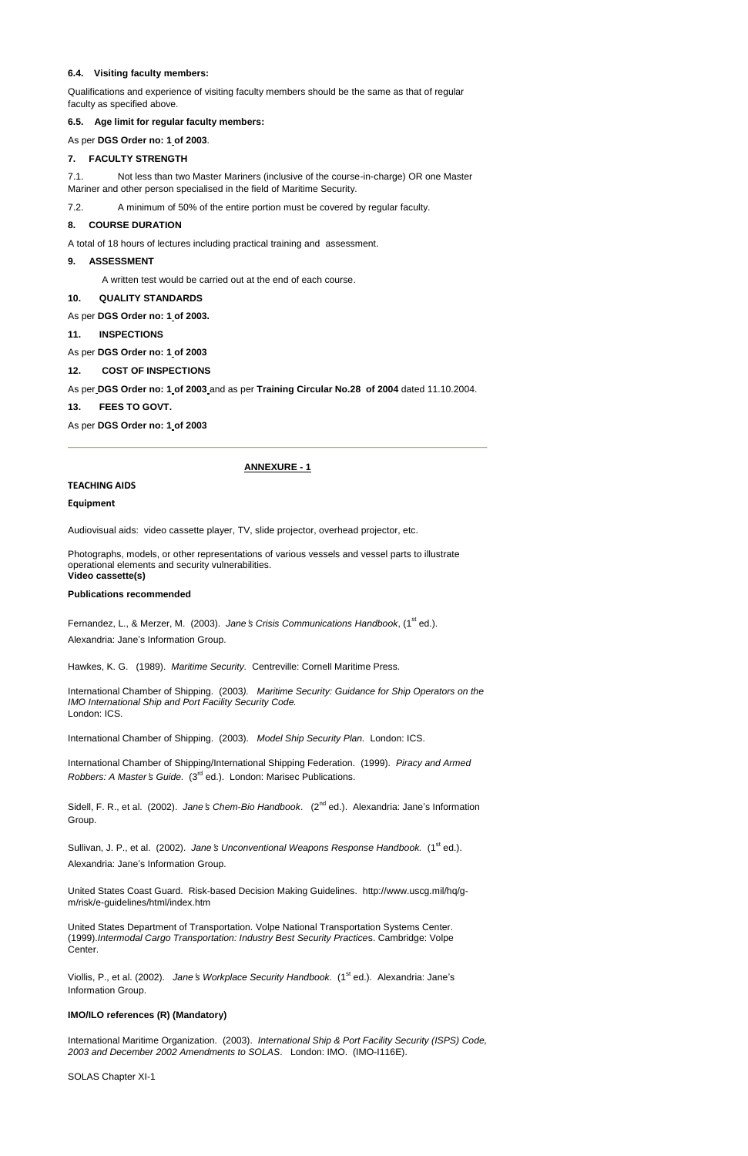### **6.4. Visiting faculty members:**

Qualifications and experience of visiting faculty members should be the same as that of regular faculty as specified above.

**6.5. Age limit for regular faculty members:**

## As per **DGS Order no: 1 of 2003**.

### **7. FACULTY STRENGTH**

7.1. Not less than two Master Mariners (inclusive of the course-in-charge) OR one Master Mariner and other person specialised in the field of Maritime Security.

7.2. A minimum of 50% of the entire portion must be covered by regular faculty.

#### **8. COURSE DURATION**

A total of 18 hours of lectures including practical training and assessment.

#### **9. ASSESSMENT**

A written test would be carried out at the end of each course.

#### **10. QUALITY STANDARDS**

Fernandez, L., & Merzer, M. (2003). Jane's Crisis Communications Handbook, (1<sup>st</sup> ed.). Alexandria: Jane's Information Group.

As per **DGS Order no: 1 of 2003.**

#### **11. INSPECTIONS**

As per **DGS Order no: 1 of 2003**

**12. COST OF INSPECTIONS**

As per **DGS Order no: 1 of 2003** and as per **Training Circular No.28 of 2004** dated 11.10.2004.

**13. FEES TO GOVT.**

As per **DGS Order no: 1 of 2003**

#### **ANNEXURE - 1**

#### **TEACHING AIDS**

#### **Equipment**

Audiovisual aids: video cassette player, TV, slide projector, overhead projector, etc.

Photographs, models, or other representations of various vessels and vessel parts to illustrate operational elements and security vulnerabilities. **Video cassette(s)**

#### **Publications recommended**

Viollis, P., et al. (2002). *Jane's Workplace Security Handbook.* (1<sup>st</sup> ed.). Alexandria: Jane's Information Group.

Hawkes, K. G. (1989). *Maritime Security.* Centreville: Cornell Maritime Press.

International Chamber of Shipping. (2003*). Maritime Security: Guidance for Ship Operators on the IMO International Ship and Port Facility Security Code.* London: ICS.

International Chamber of Shipping. (2003). *Model Ship Security Plan.* London: ICS.

International Chamber of Shipping/International Shipping Federation. (1999). *Piracy and Armed Robbers: A Master*'*s Guide.* (3rd ed.). London: Marisec Publications.

Sidell, F. R., et al. (2002). *Jane*'*s Chem-Bio Handbook*. (2nd ed.). Alexandria: Jane's Information Group.

Sullivan, J. P., et al. (2002). Jane's Unconventional Weapons Response Handbook. (1<sup>st</sup> ed.)

Alexandria: Jane's Information Group.

United States Coast Guard. Risk-based Decision Making Guidelines. http://www.uscg.mil/hq/gm/risk/e-guidelines/html/index.htm

United States Department of Transportation. Volpe National Transportation Systems Center. (1999).*Intermodal Cargo Transportation: Industry Best Security Practice*s. Cambridge: Volpe Center.

### **IMO/ILO references (R) (Mandatory)**

International Maritime Organization. (2003). *International Ship & Port Facility Security (ISPS) Code, 2003 and December 2002 Amendments to SOLAS*. London: IMO. (IMO-I116E).

SOLAS Chapter XI-1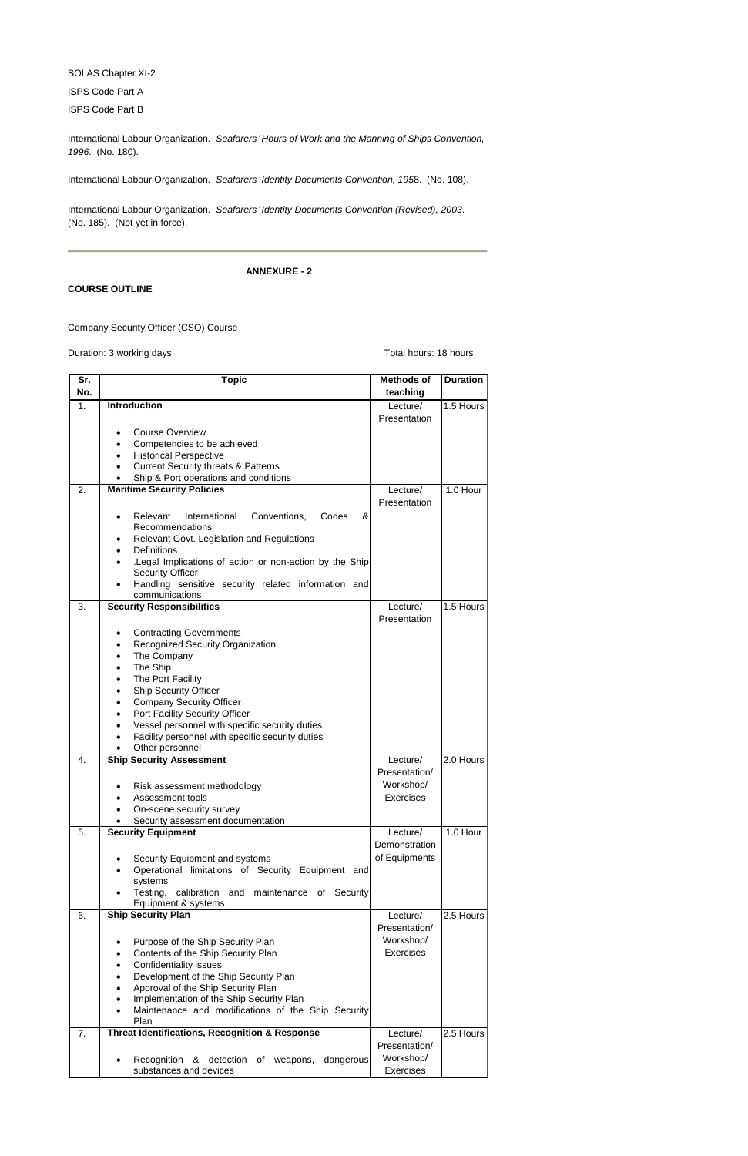SOLAS Chapter XI-2

ISPS Code Part A

ISPS Code Part B

International Labour Organization. *Seafarers*' *Hours of Work and the Manning of Ships Convention, 1996*. (No. 180).

International Labour Organization. *Seafarers*' *Identity Documents Convention, 195*8. (No. 108).

International Labour Organization. *Seafarers*' *Identity Documents Convention (Revised), 2003*. (No. 185). (Not yet in force).

**ANNEXURE - 2**

## **COURSE OUTLINE**

Company Security Officer (CSO) Course

Duration: 3 working days **Duration: 3** working days

| $\overline{\mathsf{Sr.}}$ | <b>Topic</b>                                                                      | <b>Methods of</b> | <b>Duration</b> |
|---------------------------|-----------------------------------------------------------------------------------|-------------------|-----------------|
| No.                       |                                                                                   | teaching          |                 |
| 1.                        | <b>Introduction</b>                                                               | Lecture/          | 1.5 Hours       |
|                           |                                                                                   | Presentation      |                 |
|                           | <b>Course Overview</b>                                                            |                   |                 |
|                           | Competencies to be achieved                                                       |                   |                 |
|                           | <b>Historical Perspective</b><br><b>Current Security threats &amp; Patterns</b>   |                   |                 |
|                           | Ship & Port operations and conditions                                             |                   |                 |
| 2.                        | <b>Maritime Security Policies</b>                                                 | Lecture/          | 1.0 Hour        |
|                           |                                                                                   | Presentation      |                 |
|                           | International<br>Conventions,<br>&<br>Relevant<br>Codes                           |                   |                 |
|                           | Recommendations                                                                   |                   |                 |
|                           | Relevant Govt. Legislation and Regulations                                        |                   |                 |
|                           | Definitions<br>$\bullet$                                                          |                   |                 |
|                           | Legal Implications of action or non-action by the Ship<br><b>Security Officer</b> |                   |                 |
|                           | Handling sensitive security related information and                               |                   |                 |
|                           | communications                                                                    |                   |                 |
| 3.                        | <b>Security Responsibilities</b>                                                  | Lecture/          | 1.5 Hours       |
|                           |                                                                                   | Presentation      |                 |
|                           | <b>Contracting Governments</b>                                                    |                   |                 |
|                           | Recognized Security Organization                                                  |                   |                 |
|                           | The Company<br>$\bullet$                                                          |                   |                 |
|                           | The Ship<br>$\bullet$                                                             |                   |                 |
|                           | The Port Facility<br>$\bullet$<br><b>Ship Security Officer</b>                    |                   |                 |
|                           | $\bullet$<br><b>Company Security Officer</b><br>$\bullet$                         |                   |                 |
|                           | Port Facility Security Officer<br>$\bullet$                                       |                   |                 |
|                           | Vessel personnel with specific security duties<br>$\bullet$                       |                   |                 |
|                           | Facility personnel with specific security duties                                  |                   |                 |
|                           | Other personnel                                                                   |                   |                 |
| $\overline{4}$ .          | <b>Ship Security Assessment</b>                                                   | Lecture/          | 2.0 Hours       |
|                           |                                                                                   | Presentation/     |                 |
|                           | Risk assessment methodology                                                       | Workshop/         |                 |
|                           | Assessment tools<br>On-scene security survey                                      | <b>Exercises</b>  |                 |
|                           | Security assessment documentation                                                 |                   |                 |
| 5.                        | <b>Security Equipment</b>                                                         | Lecture/          | 1.0 Hour        |
|                           |                                                                                   | Demonstration     |                 |
|                           | Security Equipment and systems                                                    | of Equipments     |                 |
|                           | Operational limitations of Security Equipment and                                 |                   |                 |
|                           | systems                                                                           |                   |                 |
|                           | Testing,<br>calibration and maintenance of Security                               |                   |                 |
| 6.                        | Equipment & systems<br><b>Ship Security Plan</b>                                  | Lecture/          | 2.5 Hours       |
|                           |                                                                                   | Presentation/     |                 |
|                           | Purpose of the Ship Security Plan                                                 | Workshop/         |                 |
|                           | Contents of the Ship Security Plan                                                | <b>Exercises</b>  |                 |
|                           | <b>Confidentiality issues</b>                                                     |                   |                 |
|                           | Development of the Ship Security Plan                                             |                   |                 |
|                           | Approval of the Ship Security Plan                                                |                   |                 |
|                           | Implementation of the Ship Security Plan                                          |                   |                 |
|                           | Maintenance and modifications of the Ship Security                                |                   |                 |
| 7.                        | Plan<br><b>Threat Identifications, Recognition &amp; Response</b>                 | Lecture/          | 2.5 Hours       |
|                           |                                                                                   | Presentation/     |                 |
|                           |                                                                                   | Workshop/         |                 |
|                           | dangerous<br>Recognition & detection<br>of weapons,<br>substances and devices     | Exercises         |                 |
|                           |                                                                                   |                   |                 |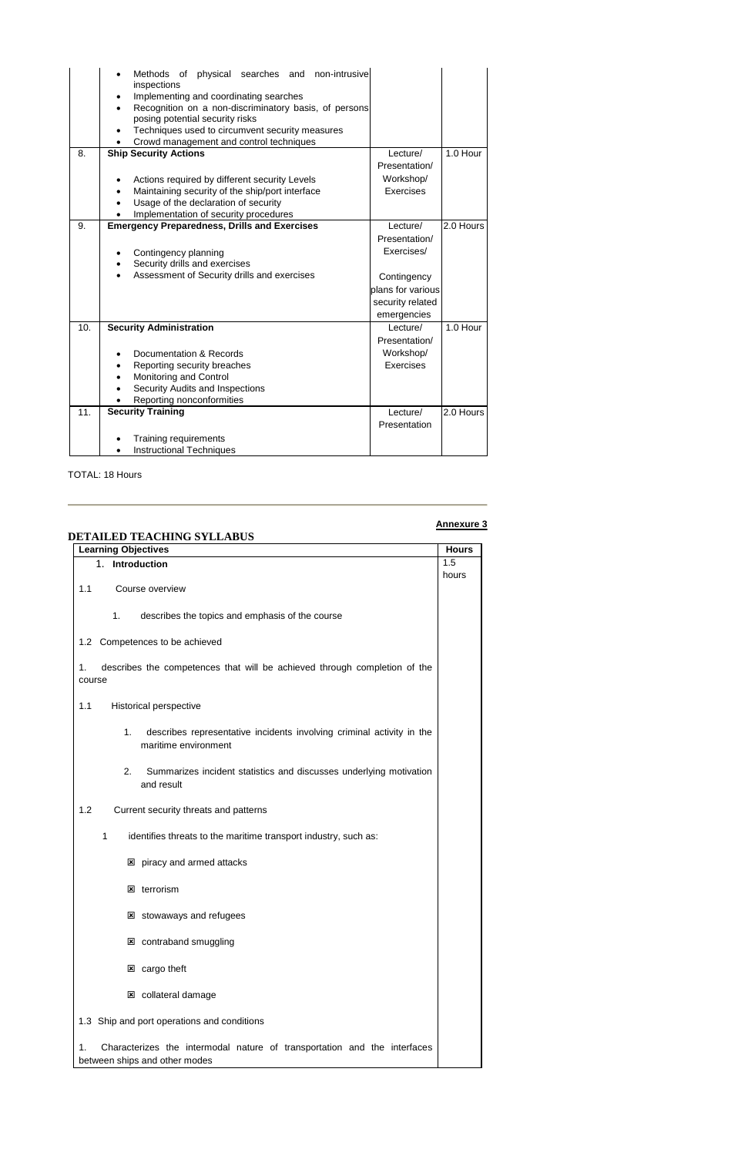|     | physical searches and non-intrusive<br>Methods of<br>inspections<br>Implementing and coordinating searches<br>Recognition on a non-discriminatory basis, of persons<br>posing potential security risks<br>Techniques used to circumvent security measures<br>$\bullet$<br>Crowd management and control techniques |                                  |           |
|-----|-------------------------------------------------------------------------------------------------------------------------------------------------------------------------------------------------------------------------------------------------------------------------------------------------------------------|----------------------------------|-----------|
| 8.  | <b>Ship Security Actions</b>                                                                                                                                                                                                                                                                                      | Lecture/                         | 1.0 Hour  |
|     |                                                                                                                                                                                                                                                                                                                   | Presentation/                    |           |
|     | Actions required by different security Levels                                                                                                                                                                                                                                                                     | Workshop/                        |           |
|     | Maintaining security of the ship/port interface<br>$\bullet$                                                                                                                                                                                                                                                      | <b>Exercises</b>                 |           |
|     | Usage of the declaration of security<br>$\bullet$                                                                                                                                                                                                                                                                 |                                  |           |
| 9.  | Implementation of security procedures<br><b>Emergency Preparedness, Drills and Exercises</b>                                                                                                                                                                                                                      | Lecture/                         | 2.0 Hours |
|     |                                                                                                                                                                                                                                                                                                                   | Presentation/                    |           |
|     |                                                                                                                                                                                                                                                                                                                   | Exercises/                       |           |
|     | Contingency planning<br>Security drills and exercises<br>$\bullet$                                                                                                                                                                                                                                                |                                  |           |
|     | Assessment of Security drills and exercises<br>$\bullet$                                                                                                                                                                                                                                                          |                                  |           |
|     |                                                                                                                                                                                                                                                                                                                   | Contingency<br>plans for various |           |
|     |                                                                                                                                                                                                                                                                                                                   |                                  |           |
|     |                                                                                                                                                                                                                                                                                                                   | security related                 |           |
|     |                                                                                                                                                                                                                                                                                                                   | emergencies                      |           |
| 10. | <b>Security Administration</b>                                                                                                                                                                                                                                                                                    | Lecture/                         | 1.0 Hour  |
|     |                                                                                                                                                                                                                                                                                                                   | Presentation/                    |           |
|     | Documentation & Records                                                                                                                                                                                                                                                                                           | Workshop/                        |           |
|     | Reporting security breaches                                                                                                                                                                                                                                                                                       | Exercises                        |           |
|     | Monitoring and Control                                                                                                                                                                                                                                                                                            |                                  |           |
|     | Security Audits and Inspections                                                                                                                                                                                                                                                                                   |                                  |           |
| 11. | Reporting nonconformities<br><b>Security Training</b>                                                                                                                                                                                                                                                             | Lecture/                         | 2.0 Hours |
|     |                                                                                                                                                                                                                                                                                                                   | Presentation                     |           |
|     |                                                                                                                                                                                                                                                                                                                   |                                  |           |
|     | Training requirements                                                                                                                                                                                                                                                                                             |                                  |           |
|     | <b>Instructional Techniques</b>                                                                                                                                                                                                                                                                                   |                                  |           |

- **E** piracy and armed attacks
- $\boxtimes$  terrorism
- **E stowaways and refugees**
- contraband smuggling
- **z** cargo theft
- **E** collateral damage
- 1.3 Ship and port operations and conditions
- 1. Characterizes the intermodal nature of transportation and the interfaces between ships and other modes

TOTAL: 18 Hours

# **Annexure 3**

| <b>DETAILED TEACHING SYLLABUS</b>                                                                        |              |
|----------------------------------------------------------------------------------------------------------|--------------|
| <b>Learning Objectives</b>                                                                               | <b>Hours</b> |
| 1. Introduction                                                                                          | 1.5          |
| Course overview<br>1.1                                                                                   | hours        |
| 1 <sub>1</sub><br>describes the topics and emphasis of the course                                        |              |
| 1.2 Competences to be achieved                                                                           |              |
| describes the competences that will be achieved through completion of the<br>1.<br>course                |              |
| 1.1<br>Historical perspective                                                                            |              |
| describes representative incidents involving criminal activity in the<br>$1_{-}$<br>maritime environment |              |
| 2 <sub>1</sub><br>Summarizes incident statistics and discusses underlying motivation<br>and result       |              |
| 1.2<br>Current security threats and patterns                                                             |              |
| identifies threats to the maritime transport industry, such as:<br>1                                     |              |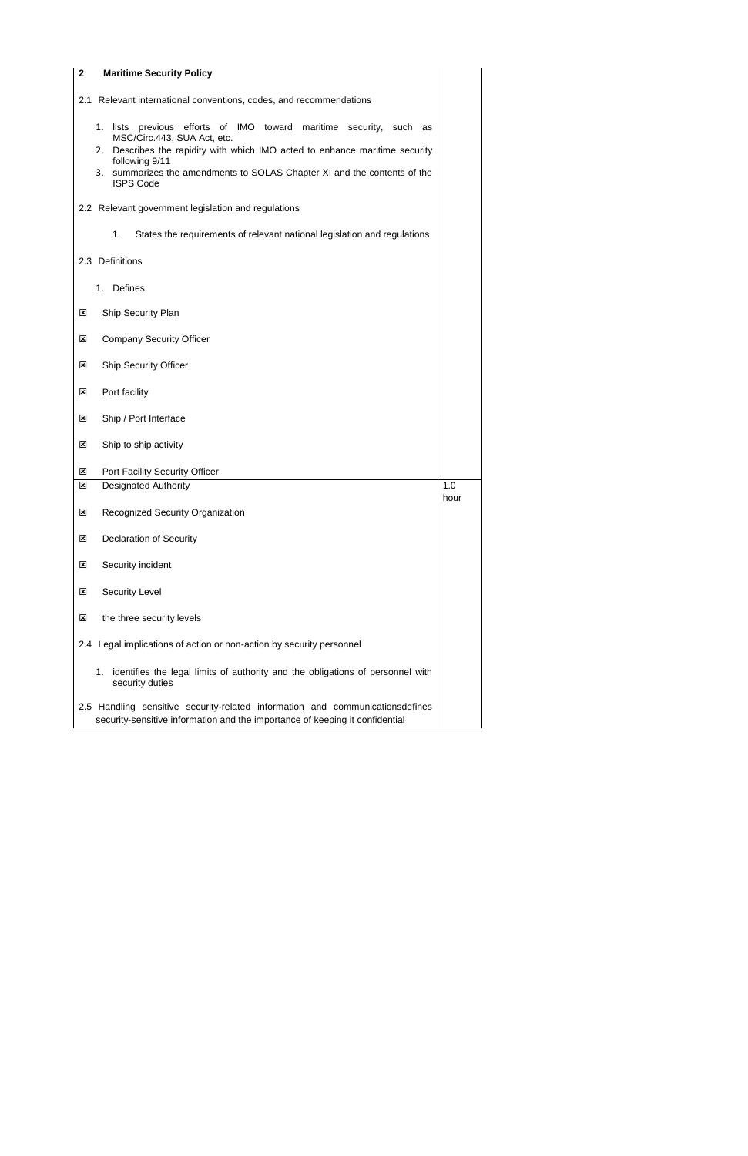| $\mathbf 2$<br><b>Maritime Security Policy</b>                                                                                                                                                                                                                                                           |      |
|----------------------------------------------------------------------------------------------------------------------------------------------------------------------------------------------------------------------------------------------------------------------------------------------------------|------|
| Relevant international conventions, codes, and recommendations<br>2.1                                                                                                                                                                                                                                    |      |
| 1. lists previous efforts of IMO toward maritime security, such as<br>MSC/Circ.443, SUA Act, etc.<br>Describes the rapidity with which IMO acted to enhance maritime security<br>2.<br>following 9/11<br>summarizes the amendments to SOLAS Chapter XI and the contents of the<br>3.<br><b>ISPS Code</b> |      |
| 2.2 Relevant government legislation and regulations                                                                                                                                                                                                                                                      |      |
| 1.<br>States the requirements of relevant national legislation and regulations                                                                                                                                                                                                                           |      |
| 2.3 Definitions                                                                                                                                                                                                                                                                                          |      |
| <b>Defines</b><br>1.                                                                                                                                                                                                                                                                                     |      |
| Ship Security Plan<br>⊠                                                                                                                                                                                                                                                                                  |      |
| <b>Company Security Officer</b><br>×                                                                                                                                                                                                                                                                     |      |
| <b>Ship Security Officer</b><br>⊠                                                                                                                                                                                                                                                                        |      |
| Port facility<br>×                                                                                                                                                                                                                                                                                       |      |
| Ship / Port Interface<br>×                                                                                                                                                                                                                                                                               |      |
| Ship to ship activity<br>$\mathbf{x}$                                                                                                                                                                                                                                                                    |      |
| Port Facility Security Officer<br>×                                                                                                                                                                                                                                                                      |      |
| 図<br><b>Designated Authority</b>                                                                                                                                                                                                                                                                         | 1.0  |
| <b>Recognized Security Organization</b><br>×                                                                                                                                                                                                                                                             | hour |
| <b>Declaration of Security</b><br>⊠                                                                                                                                                                                                                                                                      |      |
| Security incident<br>⊠                                                                                                                                                                                                                                                                                   |      |
| <b>Security Level</b><br>×                                                                                                                                                                                                                                                                               |      |
| the three security levels<br>×                                                                                                                                                                                                                                                                           |      |
| 2.4 Legal implications of action or non-action by security personnel                                                                                                                                                                                                                                     |      |
| identifies the legal limits of authority and the obligations of personnel with<br>1.<br>security duties                                                                                                                                                                                                  |      |
| 2.5 Handling sensitive security-related information and communicationsdefines<br>security-sensitive information and the importance of keeping it confidential                                                                                                                                            |      |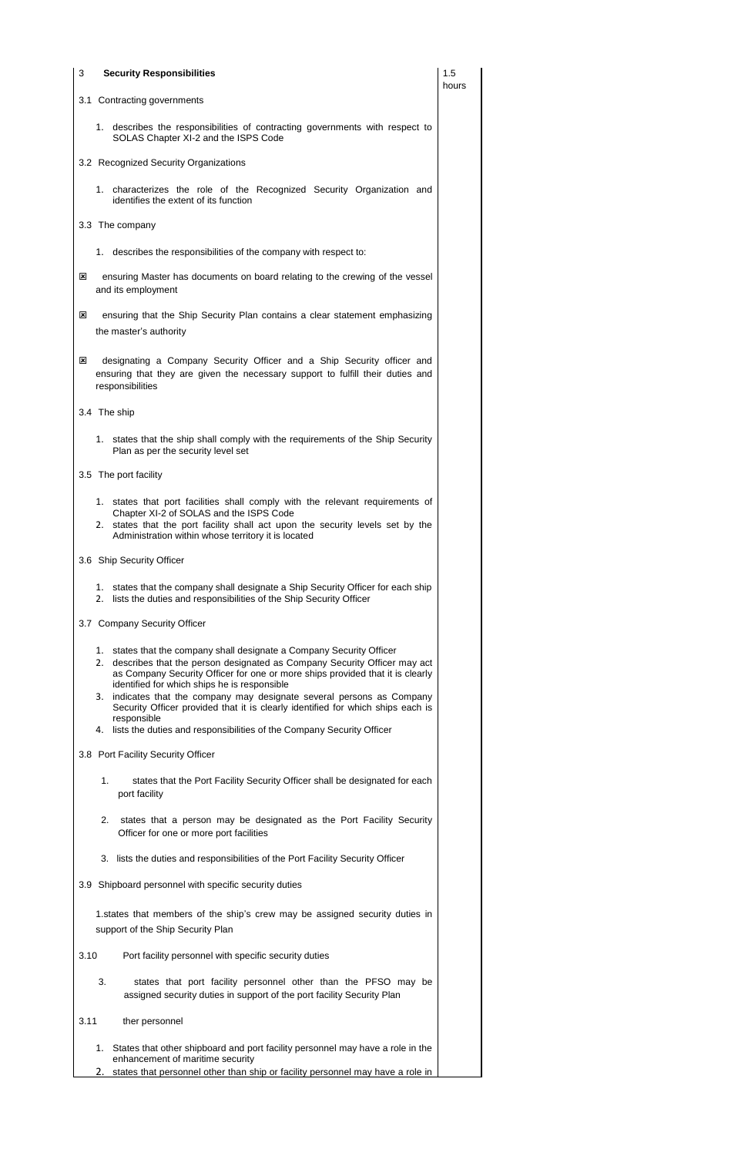- 3.10 Port facility personnel with specific security duties
	- 3. states that port facility personnel other than the PFSO may be assigned security duties in support of the port facility Security Plan
- 3.11 ther personnel
	- 1. States that other shipboard and port facility personnel may have a role in the enhancement of maritime security
	- 2. states that personnel other than ship or facility personnel may have a role in

Officer for one or more port facilities

| 3 | <b>Security Responsibilities</b>                                                                                                                                                                                                                                                                                                                                                                                                                                                                                                              | 1.5<br>hours |
|---|-----------------------------------------------------------------------------------------------------------------------------------------------------------------------------------------------------------------------------------------------------------------------------------------------------------------------------------------------------------------------------------------------------------------------------------------------------------------------------------------------------------------------------------------------|--------------|
|   | 3.1 Contracting governments                                                                                                                                                                                                                                                                                                                                                                                                                                                                                                                   |              |
|   | 1. describes the responsibilities of contracting governments with respect to<br>SOLAS Chapter XI-2 and the ISPS Code                                                                                                                                                                                                                                                                                                                                                                                                                          |              |
|   | 3.2 Recognized Security Organizations                                                                                                                                                                                                                                                                                                                                                                                                                                                                                                         |              |
|   | 1. characterizes the role of the Recognized Security Organization and<br>identifies the extent of its function                                                                                                                                                                                                                                                                                                                                                                                                                                |              |
|   | 3.3 The company                                                                                                                                                                                                                                                                                                                                                                                                                                                                                                                               |              |
|   | 1. describes the responsibilities of the company with respect to:                                                                                                                                                                                                                                                                                                                                                                                                                                                                             |              |
| ⊠ | ensuring Master has documents on board relating to the crewing of the vessel<br>and its employment                                                                                                                                                                                                                                                                                                                                                                                                                                            |              |
| ⊠ | ensuring that the Ship Security Plan contains a clear statement emphasizing<br>the master's authority                                                                                                                                                                                                                                                                                                                                                                                                                                         |              |
| ⊠ | designating a Company Security Officer and a Ship Security officer and<br>ensuring that they are given the necessary support to fulfill their duties and<br>responsibilities                                                                                                                                                                                                                                                                                                                                                                  |              |
|   | 3.4 The ship                                                                                                                                                                                                                                                                                                                                                                                                                                                                                                                                  |              |
|   | 1. states that the ship shall comply with the requirements of the Ship Security<br>Plan as per the security level set                                                                                                                                                                                                                                                                                                                                                                                                                         |              |
|   | 3.5 The port facility                                                                                                                                                                                                                                                                                                                                                                                                                                                                                                                         |              |
|   | 1. states that port facilities shall comply with the relevant requirements of<br>Chapter XI-2 of SOLAS and the ISPS Code<br>2. states that the port facility shall act upon the security levels set by the<br>Administration within whose territory it is located                                                                                                                                                                                                                                                                             |              |
|   | 3.6 Ship Security Officer                                                                                                                                                                                                                                                                                                                                                                                                                                                                                                                     |              |
|   | 1. states that the company shall designate a Ship Security Officer for each ship<br>lists the duties and responsibilities of the Ship Security Officer<br>2.                                                                                                                                                                                                                                                                                                                                                                                  |              |
|   | 3.7 Company Security Officer                                                                                                                                                                                                                                                                                                                                                                                                                                                                                                                  |              |
|   | 1. states that the company shall designate a Company Security Officer<br>2. describes that the person designated as Company Security Officer may act<br>as Company Security Officer for one or more ships provided that it is clearly<br>identified for which ships he is responsible<br>3. indicates that the company may designate several persons as Company<br>Security Officer provided that it is clearly identified for which ships each is<br>responsible<br>4. lists the duties and responsibilities of the Company Security Officer |              |
|   | 3.8 Port Facility Security Officer                                                                                                                                                                                                                                                                                                                                                                                                                                                                                                            |              |
|   | 1.<br>states that the Port Facility Security Officer shall be designated for each<br>port facility                                                                                                                                                                                                                                                                                                                                                                                                                                            |              |
|   | 2.<br>states that a person may be designated as the Port Facility Security                                                                                                                                                                                                                                                                                                                                                                                                                                                                    |              |

- 3. lists the duties and responsibilities of the Port Facility Security Officer
- 3.9 Shipboard personnel with specific security duties

1.states that members of the ship's crew may be assigned security duties in support of the Ship Security Plan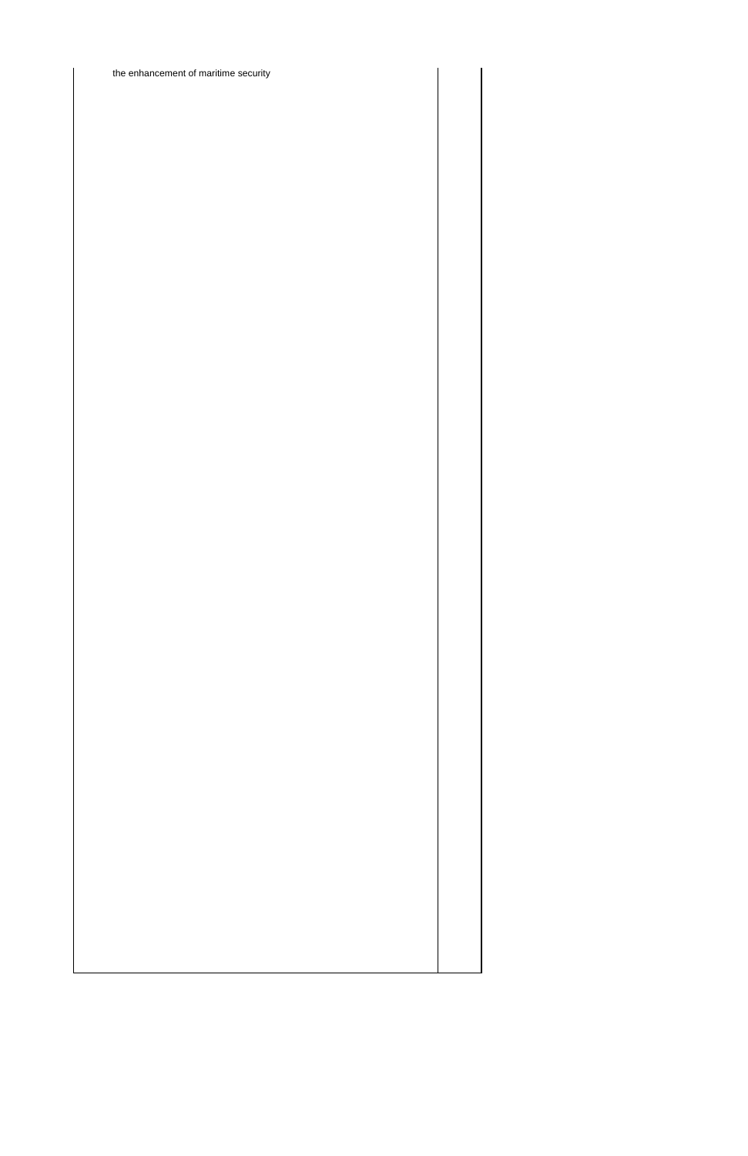the enhancement of maritime security

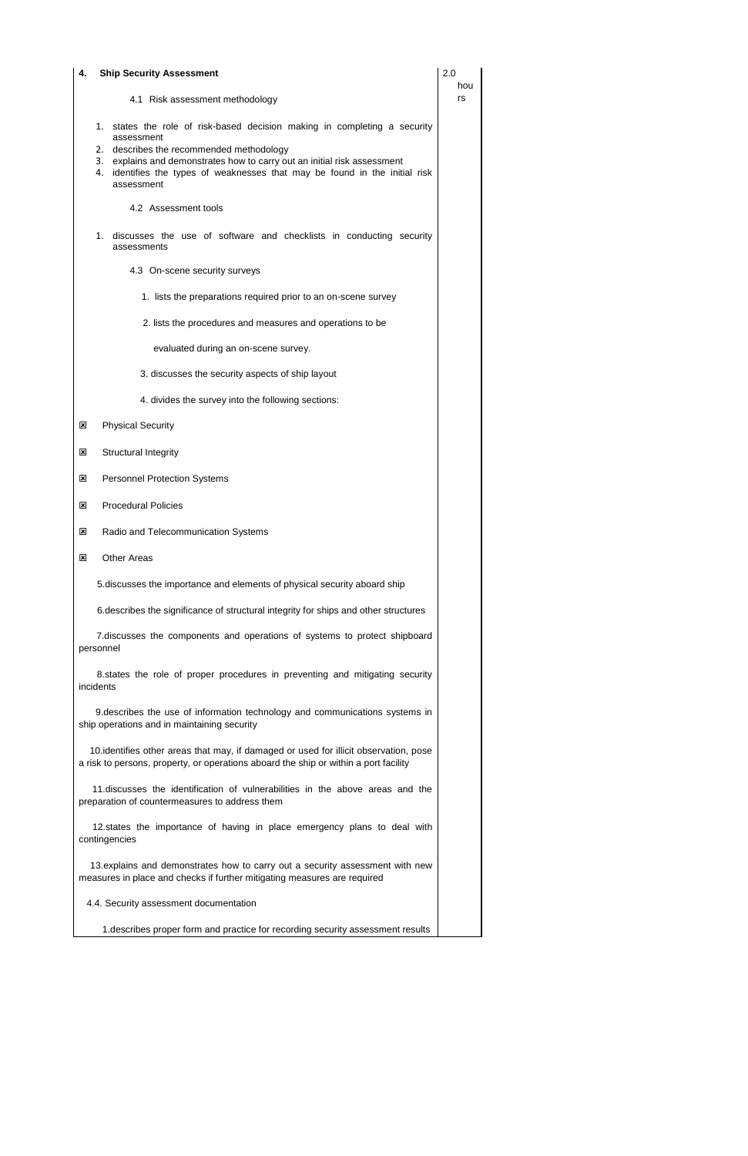| 4. | <b>Ship Security Assessment</b>                                                                                                                                                                                                                                                                                 |    |  |  |  |
|----|-----------------------------------------------------------------------------------------------------------------------------------------------------------------------------------------------------------------------------------------------------------------------------------------------------------------|----|--|--|--|
|    | 4.1 Risk assessment methodology                                                                                                                                                                                                                                                                                 | rs |  |  |  |
|    | states the role of risk-based decision making in completing a security<br>1.<br>assessment<br>2. describes the recommended methodology<br>3. explains and demonstrates how to carry out an initial risk assessment<br>4. identifies the types of weaknesses that may be found in the initial risk<br>assessment |    |  |  |  |
|    | 4.2 Assessment tools                                                                                                                                                                                                                                                                                            |    |  |  |  |
|    | 1. discusses the use of software and checklists in conducting security<br>assessments                                                                                                                                                                                                                           |    |  |  |  |
|    | 4.3 On-scene security surveys                                                                                                                                                                                                                                                                                   |    |  |  |  |
|    | 1. lists the preparations required prior to an on-scene survey                                                                                                                                                                                                                                                  |    |  |  |  |
|    | 2. lists the procedures and measures and operations to be                                                                                                                                                                                                                                                       |    |  |  |  |
|    | evaluated during an on-scene survey.                                                                                                                                                                                                                                                                            |    |  |  |  |
|    | 3. discusses the security aspects of ship layout                                                                                                                                                                                                                                                                |    |  |  |  |
|    | 4. divides the survey into the following sections:                                                                                                                                                                                                                                                              |    |  |  |  |
| ⊠  | <b>Physical Security</b>                                                                                                                                                                                                                                                                                        |    |  |  |  |
| ⊠  | <b>Structural Integrity</b>                                                                                                                                                                                                                                                                                     |    |  |  |  |
| ⊠  | <b>Personnel Protection Systems</b>                                                                                                                                                                                                                                                                             |    |  |  |  |
| ⊠  | <b>Procedural Policies</b>                                                                                                                                                                                                                                                                                      |    |  |  |  |
| ⊠  | Radio and Telecommunication Systems                                                                                                                                                                                                                                                                             |    |  |  |  |
| ⊠  | <b>Other Areas</b>                                                                                                                                                                                                                                                                                              |    |  |  |  |
|    | 5. discusses the importance and elements of physical security aboard ship                                                                                                                                                                                                                                       |    |  |  |  |
|    | 6. describes the significance of structural integrity for ships and other structures                                                                                                                                                                                                                            |    |  |  |  |
|    | 7. discusses the components and operations of systems to protect shipboard<br>personnel                                                                                                                                                                                                                         |    |  |  |  |
|    | 8. states the role of proper procedures in preventing and mitigating security<br>incidents                                                                                                                                                                                                                      |    |  |  |  |
|    | 9. describes the use of information technology and communications systems in<br>ship operations and in maintaining security                                                                                                                                                                                     |    |  |  |  |
|    | 10. identifies other areas that may, if damaged or used for illicit observation, pose<br>a risk to persons, property, or operations aboard the ship or within a port facility                                                                                                                                   |    |  |  |  |
|    | 11. discusses the identification of vulnerabilities in the above areas and the<br>preparation of countermeasures to address them                                                                                                                                                                                |    |  |  |  |
|    | 12. states the importance of having in place emergency plans to deal with                                                                                                                                                                                                                                       |    |  |  |  |

contingencies

 13.explains and demonstrates how to carry out a security assessment with new measures in place and checks if further mitigating measures are required

4.4. Security assessment documentation

1.describes proper form and practice for recording security assessment results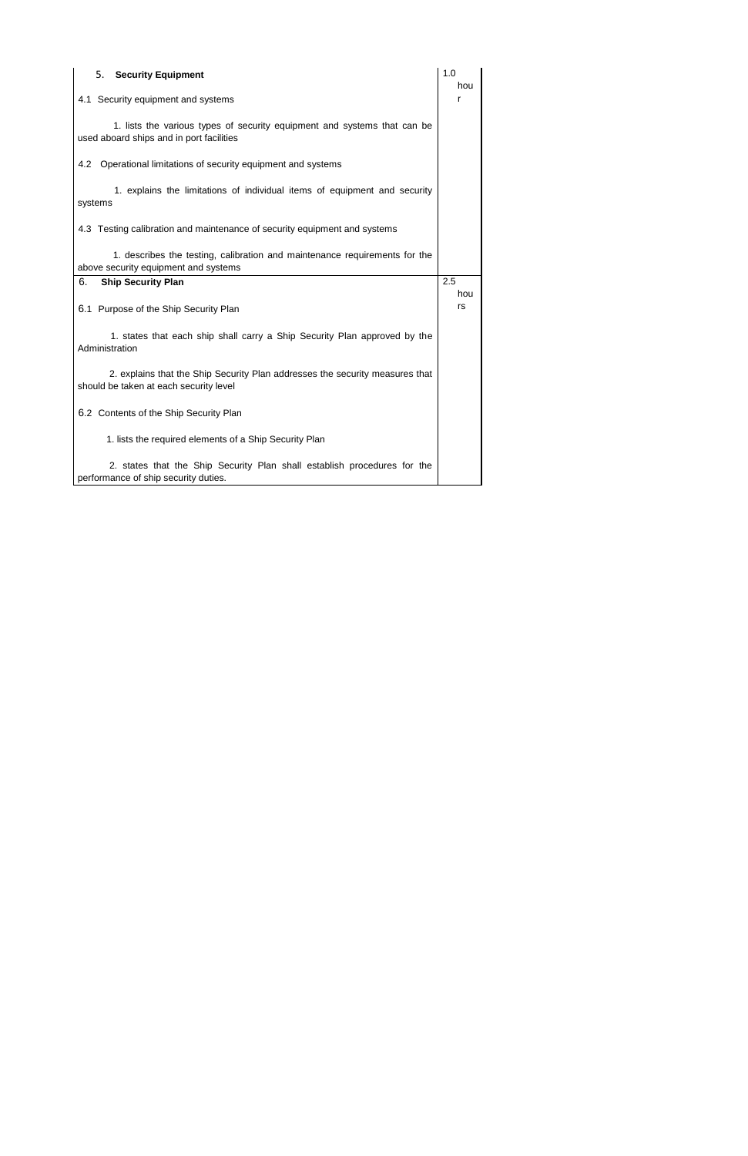| 5. Security Equipment                                                                                                  | 1.0<br>hou |
|------------------------------------------------------------------------------------------------------------------------|------------|
| 4.1 Security equipment and systems                                                                                     | r          |
| 1. lists the various types of security equipment and systems that can be<br>used aboard ships and in port facilities   |            |
| 4.2 Operational limitations of security equipment and systems                                                          |            |
| 1. explains the limitations of individual items of equipment and security<br>systems                                   |            |
| 4.3 Testing calibration and maintenance of security equipment and systems                                              |            |
| 1. describes the testing, calibration and maintenance requirements for the<br>above security equipment and systems     |            |
|                                                                                                                        |            |
| <b>Ship Security Plan</b><br>6.                                                                                        | 2.5        |
| 6.1 Purpose of the Ship Security Plan                                                                                  | hou<br>rs  |
| 1. states that each ship shall carry a Ship Security Plan approved by the<br>Administration                            |            |
| 2. explains that the Ship Security Plan addresses the security measures that<br>should be taken at each security level |            |
| 6.2 Contents of the Ship Security Plan                                                                                 |            |
| 1. lists the required elements of a Ship Security Plan                                                                 |            |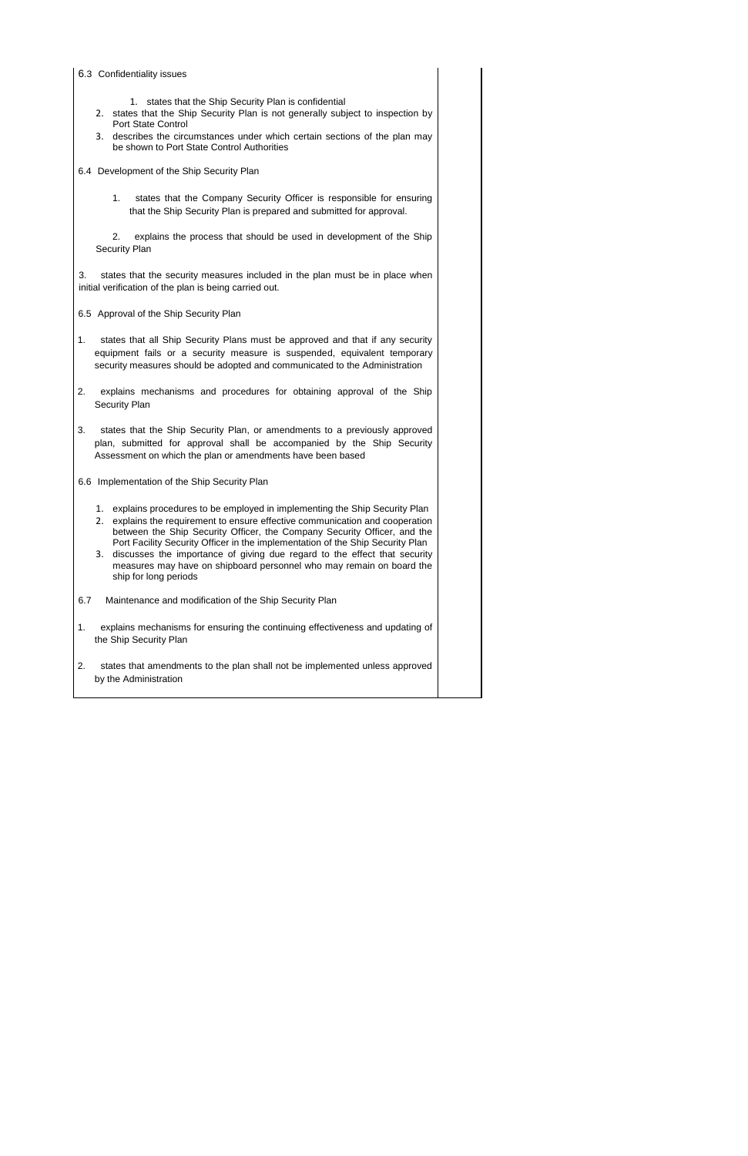| 6.3 Confidentiality issues                                                                                                                                                                                                                                                                                                                                                                                                                                                                                            |
|-----------------------------------------------------------------------------------------------------------------------------------------------------------------------------------------------------------------------------------------------------------------------------------------------------------------------------------------------------------------------------------------------------------------------------------------------------------------------------------------------------------------------|
| states that the Ship Security Plan is confidential<br>1.<br>states that the Ship Security Plan is not generally subject to inspection by<br>2.<br><b>Port State Control</b>                                                                                                                                                                                                                                                                                                                                           |
| describes the circumstances under which certain sections of the plan may<br>3.<br>be shown to Port State Control Authorities                                                                                                                                                                                                                                                                                                                                                                                          |
| 6.4 Development of the Ship Security Plan                                                                                                                                                                                                                                                                                                                                                                                                                                                                             |
| states that the Company Security Officer is responsible for ensuring<br>1.<br>that the Ship Security Plan is prepared and submitted for approval.                                                                                                                                                                                                                                                                                                                                                                     |
| 2.<br>explains the process that should be used in development of the Ship<br>Security Plan                                                                                                                                                                                                                                                                                                                                                                                                                            |
| states that the security measures included in the plan must be in place when<br>3.<br>initial verification of the plan is being carried out.                                                                                                                                                                                                                                                                                                                                                                          |
| 6.5 Approval of the Ship Security Plan                                                                                                                                                                                                                                                                                                                                                                                                                                                                                |
| 1.<br>states that all Ship Security Plans must be approved and that if any security<br>equipment fails or a security measure is suspended, equivalent temporary<br>security measures should be adopted and communicated to the Administration                                                                                                                                                                                                                                                                         |
| 2.<br>explains mechanisms and procedures for obtaining approval of the Ship<br>Security Plan                                                                                                                                                                                                                                                                                                                                                                                                                          |
| 3.<br>states that the Ship Security Plan, or amendments to a previously approved<br>plan, submitted for approval shall be accompanied by the Ship Security<br>Assessment on which the plan or amendments have been based                                                                                                                                                                                                                                                                                              |
| 6.6 Implementation of the Ship Security Plan                                                                                                                                                                                                                                                                                                                                                                                                                                                                          |
| explains procedures to be employed in implementing the Ship Security Plan<br>1.<br>explains the requirement to ensure effective communication and cooperation<br>2.<br>between the Ship Security Officer, the Company Security Officer, and the<br>Port Facility Security Officer in the implementation of the Ship Security Plan<br>discusses the importance of giving due regard to the effect that security<br>3.<br>measures may have on shipboard personnel who may remain on board the<br>ship for long periods |
| 6.7<br>Maintenance and modification of the Ship Security Plan                                                                                                                                                                                                                                                                                                                                                                                                                                                         |
| explains mechanisms for ensuring the continuing effectiveness and updating of<br>1.<br>the Ship Security Plan                                                                                                                                                                                                                                                                                                                                                                                                         |
| 2.<br>states that amendments to the plan shall not be implemented unless approved<br>by the Administration                                                                                                                                                                                                                                                                                                                                                                                                            |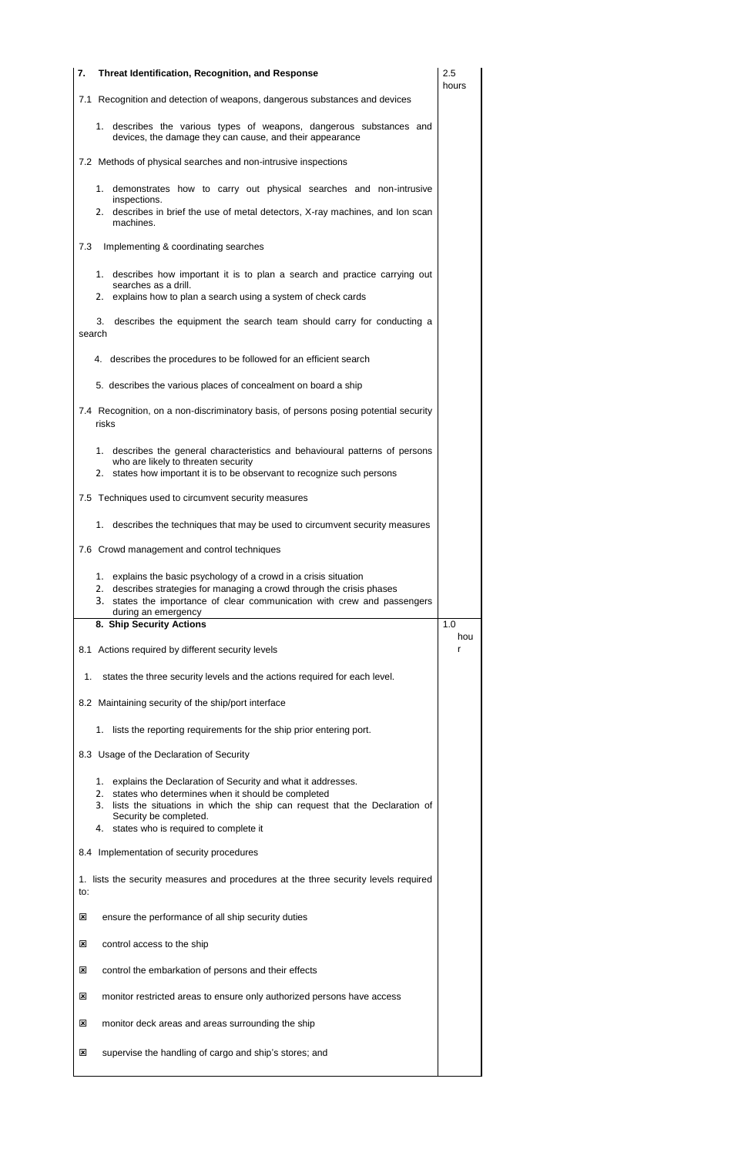- 1. lists the security measures and procedures at the three security levels required to:
- $\boxtimes$  ensure the performance of all ship security duties
- **E** control access to the ship
- **EX** control the embarkation of persons and their effects
- monitor restricted areas to ensure only authorized persons have access
- **EX** monitor deck areas and areas surrounding the ship
- supervise the handling of cargo and ship's stores; and

| 7.     | <b>Threat Identification, Recognition, and Response</b>                                                                                                                                                                                                                             | 2.5<br>hours |
|--------|-------------------------------------------------------------------------------------------------------------------------------------------------------------------------------------------------------------------------------------------------------------------------------------|--------------|
|        | 7.1 Recognition and detection of weapons, dangerous substances and devices                                                                                                                                                                                                          |              |
|        | 1. describes the various types of weapons, dangerous substances and<br>devices, the damage they can cause, and their appearance                                                                                                                                                     |              |
|        | 7.2 Methods of physical searches and non-intrusive inspections                                                                                                                                                                                                                      |              |
|        | 1. demonstrates how to carry out physical searches and non-intrusive<br>inspections.<br>2. describes in brief the use of metal detectors, X-ray machines, and Ion scan                                                                                                              |              |
|        | machines.                                                                                                                                                                                                                                                                           |              |
| 7.3    | Implementing & coordinating searches                                                                                                                                                                                                                                                |              |
|        | 1. describes how important it is to plan a search and practice carrying out<br>searches as a drill.<br>2. explains how to plan a search using a system of check cards                                                                                                               |              |
|        | describes the equipment the search team should carry for conducting a<br>3.                                                                                                                                                                                                         |              |
| search |                                                                                                                                                                                                                                                                                     |              |
|        | 4. describes the procedures to be followed for an efficient search                                                                                                                                                                                                                  |              |
|        | 5. describes the various places of concealment on board a ship                                                                                                                                                                                                                      |              |
|        | 7.4 Recognition, on a non-discriminatory basis, of persons posing potential security<br>risks                                                                                                                                                                                       |              |
|        | 1. describes the general characteristics and behavioural patterns of persons<br>who are likely to threaten security<br>2. states how important it is to be observant to recognize such persons                                                                                      |              |
|        | 7.5 Techniques used to circumvent security measures                                                                                                                                                                                                                                 |              |
|        | 1. describes the techniques that may be used to circumvent security measures                                                                                                                                                                                                        |              |
|        | 7.6 Crowd management and control techniques                                                                                                                                                                                                                                         |              |
|        | explains the basic psychology of a crowd in a crisis situation<br>1.<br>describes strategies for managing a crowd through the crisis phases<br>2.<br>3. states the importance of clear communication with crew and passengers<br>during an emergency<br>8. Ship Security Actions    | 1.0          |
|        | 8.1 Actions required by different security levels                                                                                                                                                                                                                                   | hou<br>r     |
| 1.     | states the three security levels and the actions required for each level.                                                                                                                                                                                                           |              |
|        | 8.2 Maintaining security of the ship/port interface                                                                                                                                                                                                                                 |              |
|        | 1. lists the reporting requirements for the ship prior entering port.                                                                                                                                                                                                               |              |
|        | 8.3 Usage of the Declaration of Security                                                                                                                                                                                                                                            |              |
|        | explains the Declaration of Security and what it addresses.<br>1.<br>2. states who determines when it should be completed<br>lists the situations in which the ship can request that the Declaration of<br>3.<br>Security be completed.<br>4. states who is required to complete it |              |

8.4 Implementation of security procedures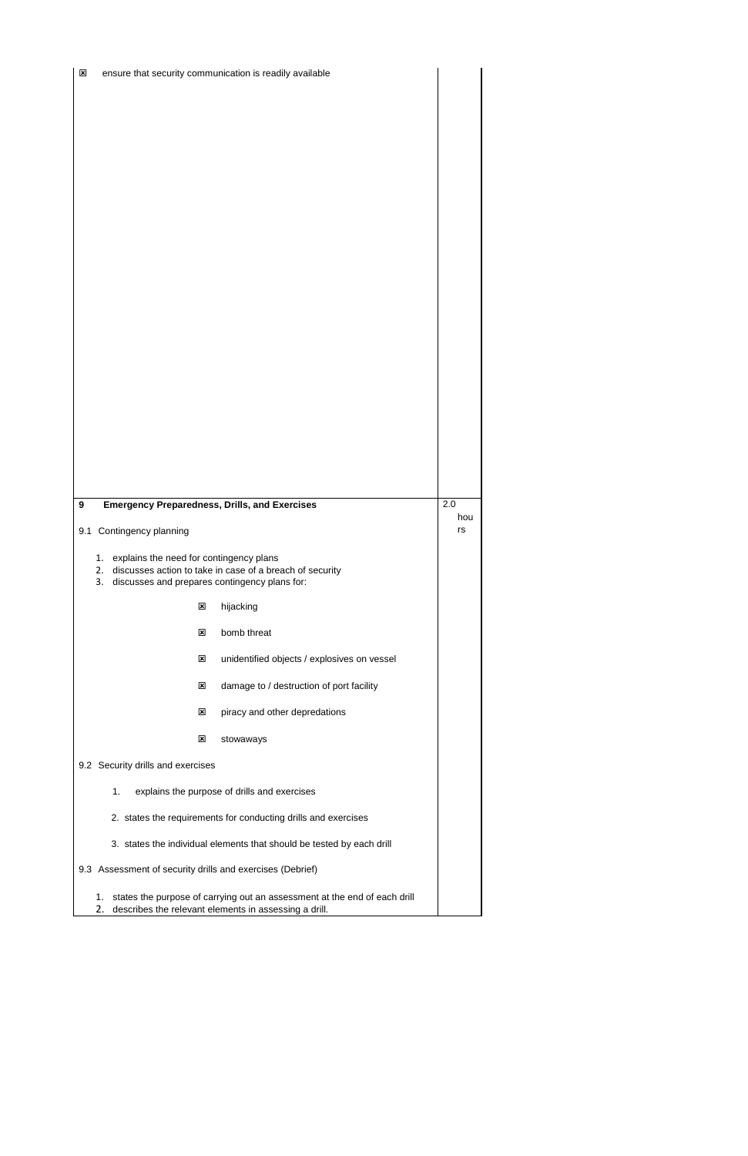- 1. states the purpose of carrying out an assessment at the end of each drill
- 2. describes the relevant elements in assessing a drill.

| $\overline{\mathbf{x}}$                            |                                                           |                           | ensure that security communication is readily available                                                   |           |
|----------------------------------------------------|-----------------------------------------------------------|---------------------------|-----------------------------------------------------------------------------------------------------------|-----------|
|                                                    |                                                           |                           |                                                                                                           |           |
|                                                    |                                                           |                           |                                                                                                           |           |
|                                                    |                                                           |                           |                                                                                                           |           |
|                                                    |                                                           |                           |                                                                                                           |           |
|                                                    |                                                           |                           |                                                                                                           |           |
|                                                    |                                                           |                           |                                                                                                           |           |
|                                                    |                                                           |                           |                                                                                                           |           |
|                                                    |                                                           |                           |                                                                                                           |           |
|                                                    |                                                           |                           |                                                                                                           |           |
|                                                    |                                                           |                           |                                                                                                           |           |
|                                                    |                                                           |                           |                                                                                                           |           |
|                                                    |                                                           |                           |                                                                                                           |           |
|                                                    |                                                           |                           |                                                                                                           |           |
|                                                    |                                                           |                           |                                                                                                           |           |
|                                                    |                                                           |                           |                                                                                                           |           |
| 9                                                  |                                                           |                           | <b>Emergency Preparedness, Drills, and Exercises</b>                                                      | 2.0       |
| 9.1                                                | Contingency planning                                      |                           |                                                                                                           | hou<br>rs |
|                                                    | explains the need for contingency plans<br>1.<br>2.<br>3. |                           | discusses action to take in case of a breach of security<br>discusses and prepares contingency plans for: |           |
|                                                    |                                                           | $\mathbf{x}$              | hijacking                                                                                                 |           |
|                                                    |                                                           | $\mathbf{x}$              | bomb threat                                                                                               |           |
|                                                    |                                                           | $\mathbf{x}$              | unidentified objects / explosives on vessel                                                               |           |
|                                                    |                                                           | $\mathbf{x}$              | damage to / destruction of port facility                                                                  |           |
|                                                    |                                                           | $\boldsymbol{\mathsf{x}}$ | piracy and other depredations                                                                             |           |
|                                                    |                                                           | $\mathbf{x}$              | stowaways                                                                                                 |           |
| 9.2 Security drills and exercises                  |                                                           |                           |                                                                                                           |           |
| explains the purpose of drills and exercises<br>1. |                                                           |                           |                                                                                                           |           |
|                                                    |                                                           |                           | 2. states the requirements for conducting drills and exercises                                            |           |
|                                                    |                                                           |                           | 3. states the individual elements that should be tested by each drill                                     |           |

9.3 Assessment of security drills and exercises (Debrief)